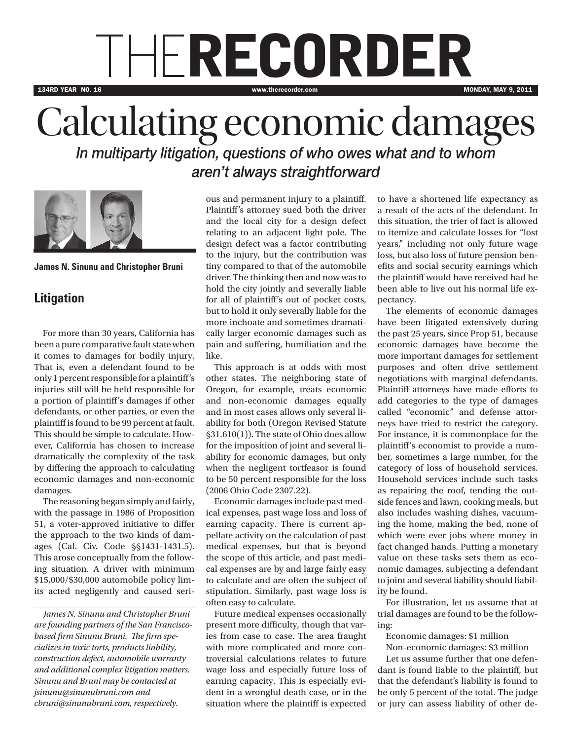## 134rd Year no. 16 THERECORDER WONDAY, MAY 9, 2011

Calculating economic damages *In multiparty litigation, questions of who owes what and to whom* 

*aren't always straightforward*

**James N. Sinunu and Christopher Bruni**

## **Litigation**

For more than 30 years, California has been a pure comparative fault state when it comes to damages for bodily injury. That is, even a defendant found to be only 1 percent responsible for a plaintiff's injuries still will be held responsible for a portion of plaintiff's damages if other defendants, or other parties, or even the plaintiff is found to be 99 percent at fault. This should be simple to calculate. However, California has chosen to increase dramatically the complexity of the task by differing the approach to calculating economic damages and non-economic damages.

The reasoning began simply and fairly, with the passage in 1986 of Proposition 51, a voter-approved initiative to differ the approach to the two kinds of damages (Cal. Civ. Code §§1431-1431.5). This arose conceptually from the following situation. A driver with minimum \$15,000/\$30,000 automobile policy limits acted negligently and caused seri-

*James N. Sinunu and Christopher Bruni are founding partners of the San Franciscobased firm Sinunu Bruni. The firm specializes in toxic torts, products liability, construction defect, automobile warranty and additional complex litigation matters. Sinunu and Bruni may be contacted at jsinunu@sinunubruni.com and cbruni@sinunubruni.com, respectively.*

ous and permanent injury to a plaintiff. Plaintiff's attorney sued both the driver and the local city for a design defect relating to an adjacent light pole. The design defect was a factor contributing to the injury, but the contribution was tiny compared to that of the automobile driver. The thinking then and now was to hold the city jointly and severally liable for all of plaintiff's out of pocket costs, but to hold it only severally liable for the more inchoate and sometimes dramatically larger economic damages such as pain and suffering, humiliation and the like.

This approach is at odds with most other states. The neighboring state of Oregon, for example, treats economic and non-economic damages equally and in most cases allows only several liability for both (Oregon Revised Statute §31.610(1)). The state of Ohio does allow for the imposition of joint and several liability for economic damages, but only when the negligent tortfeasor is found to be 50 percent responsible for the loss (2006 Ohio Code 2307.22).

Economic damages include past medical expenses, past wage loss and loss of earning capacity. There is current appellate activity on the calculation of past medical expenses, but that is beyond the scope of this article, and past medical expenses are by and large fairly easy to calculate and are often the subject of stipulation. Similarly, past wage loss is often easy to calculate.

Future medical expenses occasionally present more difficulty, though that varies from case to case. The area fraught with more complicated and more controversial calculations relates to future wage loss and especially future loss of earning capacity. This is especially evident in a wrongful death case, or in the situation where the plaintiff is expected

to have a shortened life expectancy as a result of the acts of the defendant. In this situation, the trier of fact is allowed to itemize and calculate losses for "lost years," including not only future wage loss, but also loss of future pension benefits and social security earnings which the plaintiff would have received had he been able to live out his normal life expectancy.

The elements of economic damages have been litigated extensively during the past 25 years, since Prop 51, because economic damages have become the more important damages for settlement purposes and often drive settlement negotiations with marginal defendants. Plaintiff attorneys have made efforts to add categories to the type of damages called "economic" and defense attorneys have tried to restrict the category. For instance, it is commonplace for the plaintiff's economist to provide a number, sometimes a large number, for the category of loss of household services. Household services include such tasks as repairing the roof, tending the outside fences and lawn, cooking meals, but also includes washing dishes, vacuuming the home, making the bed, none of which were ever jobs where money in fact changed hands. Putting a monetary value on these tasks sets them as economic damages, subjecting a defendant to joint and several liability should liability be found.

For illustration, let us assume that at trial damages are found to be the following:

Economic damages: \$1 million

Non-economic damages: \$3 million

Let us assume further that one defendant is found liable to the plaintiff, but that the defendant's liability is found to be only 5 percent of the total. The judge or jury can assess liability of other de